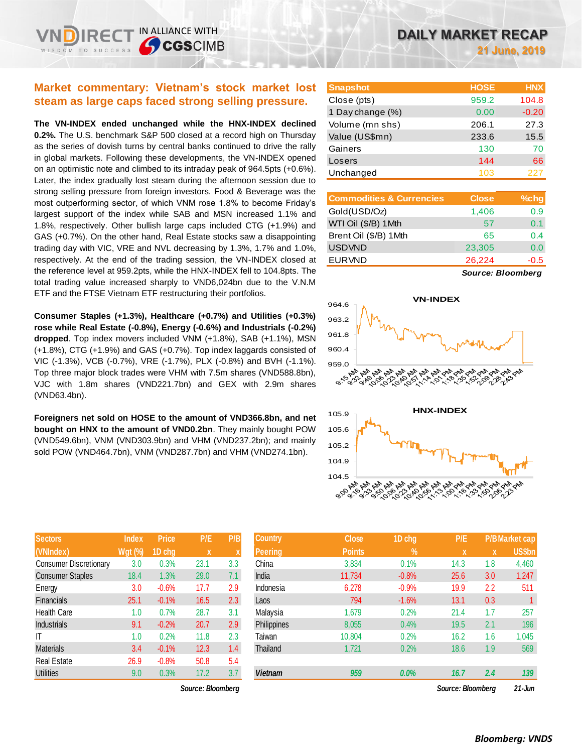IN ALLIANCE WITH

**The VN-INDEX ended unchanged while the HNX-INDEX declined 0.2%.** The U.S. benchmark S&P 500 closed at a record high on Thursday as the series of dovish turns by central banks continued to drive the rally in global markets. Following these developments, the VN-INDEX opened on an optimistic note and climbed to its intraday peak of 964.5pts (+0.6%). Later, the index gradually lost steam during the afternoon session due to strong selling pressure from foreign investors. Food & Beverage was the most outperforming sector, of which VNM rose 1.8% to become Friday's largest support of the index while SAB and MSN increased 1.1% and 1.8%, respectively. Other bullish large caps included CTG (+1.9%) and GAS (+0.7%). On the other hand, Real Estate stocks saw a disappointing trading day with VIC, VRE and NVL decreasing by 1.3%, 1.7% and 1.0%, respectively. At the end of the trading session, the VN-INDEX closed at the reference level at 959.2pts, while the HNX-INDEX fell to 104.8pts. The total trading value increased sharply to VND6,024bn due to the V.N.M ETF and the FTSE Vietnam ETF restructuring their portfolios.

**Consumer Staples (+1.3%), Healthcare (+0.7%) and Utilities (+0.3%) rose while Real Estate (-0.8%), Energy (-0.6%) and Industrials (-0.2%) dropped**. Top index movers included VNM (+1.8%), SAB (+1.1%), MSN (+1.8%), CTG (+1.9%) and GAS (+0.7%). Top index laggards consisted of VIC (-1.3%), VCB (-0.7%), VRE (-1.7%), PLX (-0.8%) and BVH (-1.1%). Top three major block trades were VHM with 7.5m shares (VND588.8bn), VJC with 1.8m shares (VND221.7bn) and GEX with 2.9m shares (VND63.4bn).

**Foreigners net sold on HOSE to the amount of VND366.8bn, and net bought on HNX to the amount of VND0.2bn**. They mainly bought POW (VND549.6bn), VNM (VND303.9bn) and VHM (VND237.2bn); and mainly sold POW (V

|                                                                                                                  |              |                  |              |                           | n), VNM (VND303.9bn) and VHM (VND237.2bn); and mai |  |
|------------------------------------------------------------------------------------------------------------------|--------------|------------------|--------------|---------------------------|----------------------------------------------------|--|
|                                                                                                                  |              |                  |              |                           | /ND464.7bn), VNM (VND287.7bn) and VHM (VND274.1bn) |  |
|                                                                                                                  |              |                  |              |                           |                                                    |  |
|                                                                                                                  |              |                  |              |                           |                                                    |  |
|                                                                                                                  |              |                  |              |                           |                                                    |  |
|                                                                                                                  |              |                  |              |                           |                                                    |  |
|                                                                                                                  |              |                  |              |                           |                                                    |  |
|                                                                                                                  | <b>Index</b> | <b>Price</b>     | P/E          | P/B                       | <b>Country</b>                                     |  |
|                                                                                                                  |              | $Wgt$ (%) 1D chg | $\mathbf{x}$ | $\boldsymbol{\mathsf{X}}$ | <b>Peering</b>                                     |  |
| and the company of the company of the company of the company of the company of the company of the company of the |              |                  |              |                           | $\sim$ $\sim$                                      |  |

| (VNIndex)                     | $Wgt$ (%) | 1D chg  | X    | X   |
|-------------------------------|-----------|---------|------|-----|
| <b>Consumer Discretionary</b> | 3.0       | 0.3%    | 23.1 | 3.3 |
| <b>Consumer Staples</b>       | 18.4      | 1.3%    | 29.0 | 7.1 |
| Energy                        | 3.0       | $-0.6%$ | 17.7 | 2.9 |
| <b>Financials</b>             | 25.1      | $-0.1%$ | 16.5 | 2.3 |
| <b>Health Care</b>            | 1.0       | 0.7%    | 28.7 | 3.1 |
| <b>Industrials</b>            | 9.1       | $-0.2%$ | 20.7 | 2.9 |
| ΙT                            | 1.0       | 0.2%    | 11.8 | 2.3 |
| <b>Materials</b>              | 3.4       | $-0.1%$ | 12.3 | 1.4 |
| <b>Real Estate</b>            | 26.9      | $-0.8%$ | 50.8 | 5.4 |
| <b>Utilities</b>              | 9.0       | 0.3%    | 17.2 | 3.7 |

| <b>Snapshot</b>  | <b>HOSE</b> | <b>HNX</b> |
|------------------|-------------|------------|
| Close (pts)      | 959.2       | 104.8      |
| 1 Day change (%) | 0.00        | $-0.20$    |
| Volume (mn shs)  | 206.1       | 27.3       |
| Value (US\$mn)   | 233.6       | 15.5       |
| Gainers          | 130         | 70         |
| Losers           | 144         | 66         |
| Unchanged        | 103         | 227        |

| <b>Commodities &amp; Currencies</b> | <b>Close</b> | $%$ chg |
|-------------------------------------|--------------|---------|
| Gold(USD/Oz)                        | 1,406        | 0.9     |
| WTI Oil (\$/B) 1Mth                 | 57           | 0.1     |
| Brent Oil (\$/B) 1Mth               | 65           | 0.4     |
| <b>USDVND</b>                       | 23,305       | 0.0     |
| <b>EURVND</b>                       | 26,224       | -0.5    |

*Source: Bloomberg*





| <b>Sectors</b>          | <b>Index</b>   | <b>Price</b> | P/E               | P/B | <b>Country</b> | <b>Close</b>  | 1D chg        | P/E               |     | P/B Market cap |
|-------------------------|----------------|--------------|-------------------|-----|----------------|---------------|---------------|-------------------|-----|----------------|
| (VNIndex)               | <b>Wgt (%)</b> | 1D chg       | X                 | ^   | Peering        | <b>Points</b> | $\frac{9}{6}$ | $\mathbf x$       | X   | <b>US\$bn</b>  |
| Consumer Discretionary  | 3.0            | 0.3%         | 23.1              | 3.3 | China          | 3,834         | 0.1%          | 14.3              | 1.8 | 4,460          |
| <b>Consumer Staples</b> | 18.4           | 1.3%         | 29.0              | 7.1 | India          | 11,734        | $-0.8%$       | 25.6              | 3.0 | 1,247          |
| Energy                  | 3.0            | $-0.6%$      | 17.7              | 2.9 | Indonesia      | 6,278         | $-0.9%$       | 19.9              | 2.2 | 511            |
| Financials              | 25.1           | $-0.1%$      | 16.5              | 2.3 | Laos           | 794           | $-1.6%$       | 13.1              | 0.3 |                |
| Health Care             | 1.0            | 0.7%         | 28.7              | 3.1 | Malavsia       | 1,679         | 0.2%          | 21.4              | 1.7 | 257            |
| Industrials             | 9.1            | $-0.2%$      | 20.7              | 2.9 | Philippines    | 8,055         | 0.4%          | 19.5              | 2.1 | 196            |
|                         | 1.0            | 0.2%         | 11.8              | 2.3 | Taiwan         | 10,804        | 0.2%          | 16.2              | 1.6 | 1,045          |
| Materials               | 3.4            | $-0.1%$      | 12.3              | 1.4 | Thailand       | 1,721         | 0.2%          | 18.6              | 1.9 | 569            |
| Real Estate             | 26.9           | $-0.8%$      | 50.8              | 5.4 |                |               |               |                   |     |                |
| Utilities               | 9.0            | 0.3%         | 17.2              | 3.7 | <b>Vietnam</b> | 959           | 0.0%          | 16.7              | 2.4 | 139            |
|                         |                |              | Source: Bloombera |     |                |               |               | Source: Bloombera |     | $21 - Jun$     |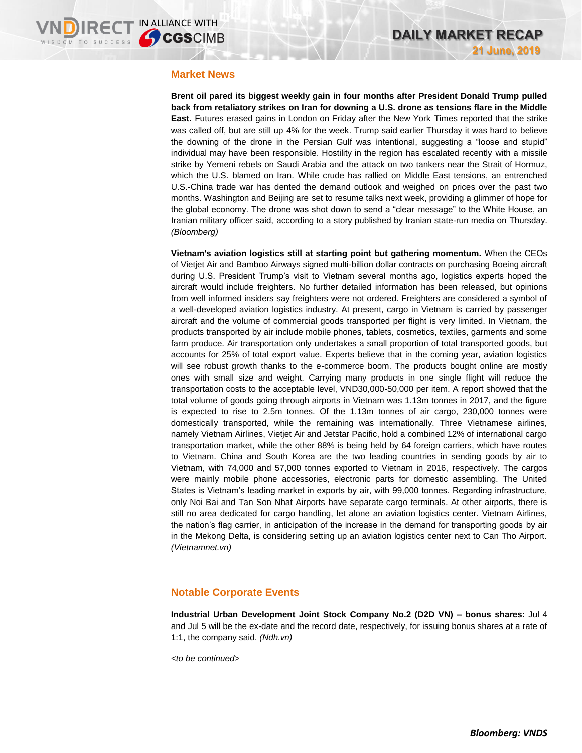### **Market News**

**Brent oil pared its biggest weekly gain in four months after President Donald Trump pulled back from retaliatory strikes on Iran for downing a U.S. drone as tensions flare in the Middle East.** Futures erased gains in London on Friday after the New York Times reported that the strike was called off, but are still up 4% for the week. Trump said earlier Thursday it was hard to believe the downing of the drone in the Persian Gulf was intentional, suggesting a "loose and stupid" individual may have been responsible. Hostility in the region has escalated recently with a missile strike by Yemeni rebels on Saudi Arabia and the attack on two tankers near the Strait of Hormuz, which the U.S. blamed on Iran. While crude has rallied on Middle East tensions, an entrenched U.S.-China trade war has dented the demand outlook and weighed on prices over the past two months. Washington and Beijing are set to resume talks next week, providing a glimmer of hope for the global economy. The drone was shot down to send a "clear message" to the White House, an Iranian military officer said, according to a story published by Iranian state-run media on Thursday. *(Bloomberg)* 

**Vietnam's aviation logistics still at starting point but gathering momentum.** When the CEOs of Vietjet Air and Bamboo Airways signed multi-billion dollar contracts on purchasing Boeing aircraft during U.S. President Trump's visit to Vietnam several months ago, logistics experts hoped the aircraft would include freighters. No further detailed information has been released, but opinions from well informed insiders say freighters were not ordered. Freighters are considered a symbol of a well-developed aviation logistics industry. At present, cargo in Vietnam is carried by passenger aircraft and the volume of commercial goods transported per flight is very limited. In Vietnam, the products transported by air include mobile phones, tablets, cosmetics, textiles, garments and some farm produce. Air transportation only undertakes a small proportion of total transported goods, but accounts for 25% of total export value. Experts believe that in the coming year, aviation logistics will see robust growth thanks to the e-commerce boom. The products bought online are mostly ones with small size and weight. Carrying many products in one single flight will reduce the transportation costs to the acceptable level, VND30,000-50,000 per item. A report showed that the total volume of goods going through airports in Vietnam was 1.13m tonnes in 2017, and the figure is expected to rise to 2.5m tonnes. Of the 1.13m tonnes of air cargo, 230,000 tonnes were domestically transported, while the remaining was internationally. Three Vietnamese airlines, namely Vietnam Airlines, Vietjet Air and Jetstar Pacific, hold a combined 12% of international cargo transportation market, while the other 88% is being held by 64 foreign carriers, which have routes to Vietnam. China and South Korea are the two leading countries in sending goods by air to Vietnam, with 74,000 and 57,000 tonnes exported to Vietnam in 2016, respectively. The cargos were mainly mobile phone accessories, electronic parts for domestic assembling. The United States is Vietnam's leading market in exports by air, with 99,000 tonnes. Regarding infrastructure, only Noi Bai and Tan Son Nhat Airports have separate cargo terminals. At other airports, there is still no area dedicated for cargo handling, let alone an aviation logistics center. Vietnam Airlines, the nation's flag carrier, in anticipation of the increase in the demand for transporting goods by air in the Mekong Delta, is considering setting up an aviation logistics center next to Can Tho Airport. *(Vietnamnet.vn)*

## **Notable Corporate Events**

**Industrial Urban Development Joint Stock Company No.2 (D2D VN) – bonus shares:** Jul 4 and Jul 5 will be the ex-date and the record date, respectively, for issuing bonus shares at a rate of 1:1, the company said. *(Ndh.vn)*

*<to be continued>*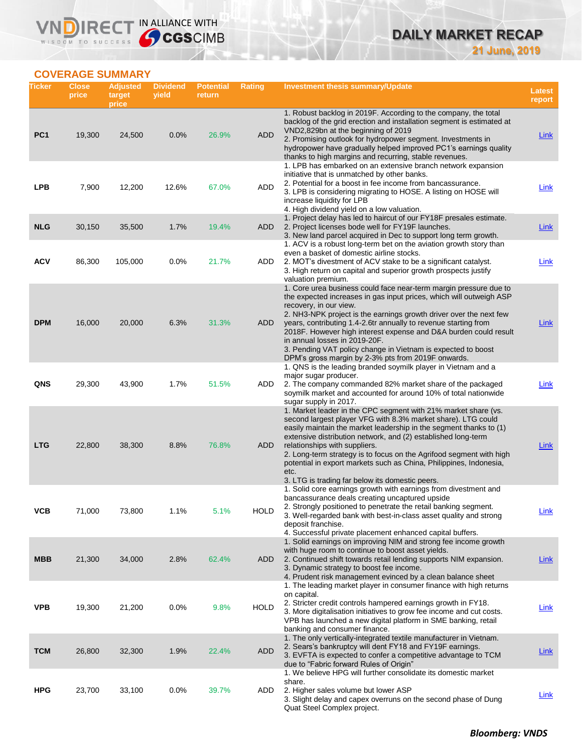# **DAILY MARKET RECAP 21 June, 2019**

# **COVERAGE SUMMARY**

WISDOM TO SUCCESS

VND

IRECT IN ALLIANCE WITH

| Ticker          | <b>Close</b><br>price | <b>Adjusted</b><br>target<br>price | <b>Dividend</b><br>yield | <b>Potential</b><br>return | <b>Rating</b> | Investment thesis summary/Update                                                                                                                                                                                                                                                                                                                                                                                                                                                                                                                             | <b>Latest</b><br>report |
|-----------------|-----------------------|------------------------------------|--------------------------|----------------------------|---------------|--------------------------------------------------------------------------------------------------------------------------------------------------------------------------------------------------------------------------------------------------------------------------------------------------------------------------------------------------------------------------------------------------------------------------------------------------------------------------------------------------------------------------------------------------------------|-------------------------|
| PC <sub>1</sub> | 19,300                | 24,500                             | 0.0%                     | 26.9%                      | <b>ADD</b>    | 1. Robust backlog in 2019F. According to the company, the total<br>backlog of the grid erection and installation segment is estimated at<br>VND2,829bn at the beginning of 2019<br>2. Promising outlook for hydropower segment. Investments in<br>hydropower have gradually helped improved PC1's earnings quality<br>thanks to high margins and recurring, stable revenues.                                                                                                                                                                                 | <b>Link</b>             |
| <b>LPB</b>      | 7,900                 | 12,200                             | 12.6%                    | 67.0%                      | ADD           | 1. LPB has embarked on an extensive branch network expansion<br>initiative that is unmatched by other banks.<br>2. Potential for a boost in fee income from bancassurance.<br>3. LPB is considering migrating to HOSE. A listing on HOSE will<br>increase liquidity for LPB<br>4. High dividend yield on a low valuation.                                                                                                                                                                                                                                    | Link                    |
| <b>NLG</b>      | 30,150                | 35,500                             | 1.7%                     | 19.4%                      | ADD           | 1. Project delay has led to haircut of our FY18F presales estimate.<br>2. Project licenses bode well for FY19F launches.<br>3. New land parcel acquired in Dec to support long term growth.<br>1. ACV is a robust long-term bet on the aviation growth story than                                                                                                                                                                                                                                                                                            | <b>Link</b>             |
| <b>ACV</b>      | 86,300                | 105,000                            | 0.0%                     | 21.7%                      | ADD           | even a basket of domestic airline stocks.<br>2. MOT's divestment of ACV stake to be a significant catalyst.<br>3. High return on capital and superior growth prospects justify                                                                                                                                                                                                                                                                                                                                                                               | <b>Link</b>             |
| <b>DPM</b>      | 16,000                | 20,000                             | 6.3%                     | 31.3%                      | ADD           | valuation premium.<br>1. Core urea business could face near-term margin pressure due to<br>the expected increases in gas input prices, which will outweigh ASP<br>recovery, in our view.<br>2. NH3-NPK project is the earnings growth driver over the next few<br>years, contributing 1.4-2.6tr annually to revenue starting from<br>2018F. However high interest expense and D&A burden could result<br>in annual losses in 2019-20F.<br>3. Pending VAT policy change in Vietnam is expected to boost<br>DPM's gross margin by 2-3% pts from 2019F onwards. | Link                    |
| QNS             | 29,300                | 43,900                             | 1.7%                     | 51.5%                      | ADD           | 1. QNS is the leading branded soymilk player in Vietnam and a<br>major sugar producer.<br>2. The company commanded 82% market share of the packaged<br>soymilk market and accounted for around 10% of total nationwide<br>sugar supply in 2017.                                                                                                                                                                                                                                                                                                              | Link                    |
| <b>LTG</b>      | 22,800                | 38,300                             | 8.8%                     | 76.8%                      | ADD           | 1. Market leader in the CPC segment with 21% market share (vs.<br>second largest player VFG with 8.3% market share). LTG could<br>easily maintain the market leadership in the segment thanks to (1)<br>extensive distribution network, and (2) established long-term<br>relationships with suppliers.<br>2. Long-term strategy is to focus on the Agrifood segment with high<br>potential in export markets such as China, Philippines, Indonesia,<br>etc.<br>3. LTG is trading far below its domestic peers.                                               | Link                    |
| ۷СВ             | 71,000                | 73,800                             | 1.1%                     | $5.1\%$                    | <b>HOLD</b>   | 1. Solid core earnings growth with earnings from divestment and<br>bancassurance deals creating uncaptured upside<br>2. Strongly positioned to penetrate the retail banking segment.<br>3. Well-regarded bank with best-in-class asset quality and strong<br>deposit franchise.<br>4. Successful private placement enhanced capital buffers.                                                                                                                                                                                                                 | <b>Link</b>             |
| <b>MBB</b>      | 21,300                | 34,000                             | 2.8%                     | 62.4%                      | ADD           | 1. Solid earnings on improving NIM and strong fee income growth<br>with huge room to continue to boost asset yields.<br>2. Continued shift towards retail lending supports NIM expansion.<br>3. Dynamic strategy to boost fee income.<br>4. Prudent risk management evinced by a clean balance sheet<br>1. The leading market player in consumer finance with high returns                                                                                                                                                                                   | <u>Link</u>             |
| <b>VPB</b>      | 19,300                | 21,200                             | 0.0%                     | 9.8%                       | <b>HOLD</b>   | on capital.<br>2. Stricter credit controls hampered earnings growth in FY18.<br>3. More digitalisation initiatives to grow fee income and cut costs.<br>VPB has launched a new digital platform in SME banking, retail<br>banking and consumer finance.                                                                                                                                                                                                                                                                                                      | <u>Link</u>             |
| <b>TCM</b>      | 26,800                | 32,300                             | 1.9%                     | 22.4%                      | ADD           | 1. The only vertically-integrated textile manufacturer in Vietnam.<br>2. Sears's bankruptcy will dent FY18 and FY19F earnings.<br>3. EVFTA is expected to confer a competitive advantage to TCM<br>due to "Fabric forward Rules of Origin"                                                                                                                                                                                                                                                                                                                   | <b>Link</b>             |
| <b>HPG</b>      | 23,700                | 33,100                             | 0.0%                     | 39.7%                      | ADD           | 1. We believe HPG will further consolidate its domestic market<br>share.<br>2. Higher sales volume but lower ASP<br>3. Slight delay and capex overruns on the second phase of Dung<br>Quat Steel Complex project.                                                                                                                                                                                                                                                                                                                                            | <u>Link</u>             |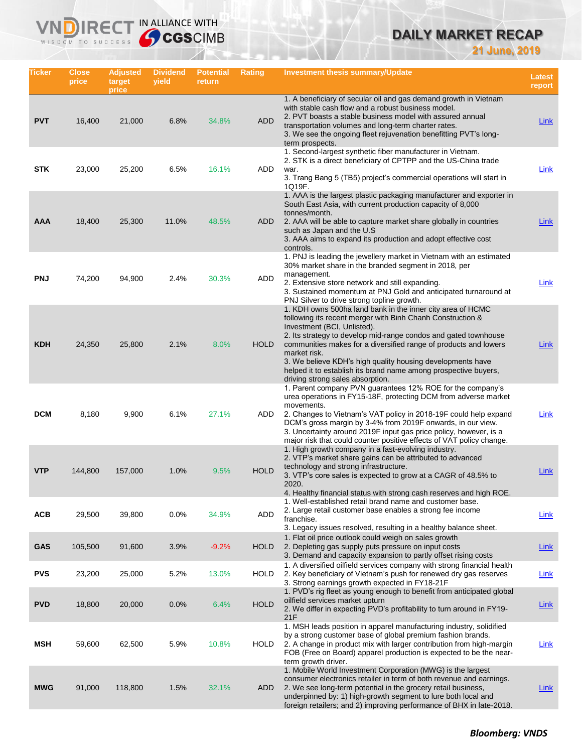# **DAILY MARKET RECAP**

**21 June, 2019**

| Ticker     | Close<br>price | <b>Adjusted</b><br>target<br>price | <b>Dividend</b><br>yield | <b>Potential</b><br>return | <b>Rating</b> | <b>Investment thesis summary/Update</b>                                                                                                                                                                                                                                                                                                                                                                                                                                             | <b>Latest</b><br>report |
|------------|----------------|------------------------------------|--------------------------|----------------------------|---------------|-------------------------------------------------------------------------------------------------------------------------------------------------------------------------------------------------------------------------------------------------------------------------------------------------------------------------------------------------------------------------------------------------------------------------------------------------------------------------------------|-------------------------|
| <b>PVT</b> | 16,400         | 21,000                             | 6.8%                     | 34.8%                      | <b>ADD</b>    | 1. A beneficiary of secular oil and gas demand growth in Vietnam<br>with stable cash flow and a robust business model.<br>2. PVT boasts a stable business model with assured annual<br>transportation volumes and long-term charter rates.<br>3. We see the ongoing fleet rejuvenation benefitting PVT's long-<br>term prospects.                                                                                                                                                   | <b>Link</b>             |
| <b>STK</b> | 23,000         | 25,200                             | 6.5%                     | 16.1%                      | ADD           | 1. Second-largest synthetic fiber manufacturer in Vietnam.<br>2. STK is a direct beneficiary of CPTPP and the US-China trade<br>war.<br>3. Trang Bang 5 (TB5) project's commercial operations will start in<br>1Q19F.                                                                                                                                                                                                                                                               | Link                    |
| AAA        | 18,400         | 25,300                             | 11.0%                    | 48.5%                      | <b>ADD</b>    | 1. AAA is the largest plastic packaging manufacturer and exporter in<br>South East Asia, with current production capacity of 8,000<br>tonnes/month.<br>2. AAA will be able to capture market share globally in countries<br>such as Japan and the U.S.<br>3. AAA aims to expand its production and adopt effective cost<br>controls.                                                                                                                                                | Link                    |
| <b>PNJ</b> | 74,200         | 94,900                             | 2.4%                     | 30.3%                      | ADD           | 1. PNJ is leading the jewellery market in Vietnam with an estimated<br>30% market share in the branded segment in 2018, per<br>management.<br>2. Extensive store network and still expanding.<br>3. Sustained momentum at PNJ Gold and anticipated turnaround at<br>PNJ Silver to drive strong topline growth.                                                                                                                                                                      | <b>Link</b>             |
| <b>KDH</b> | 24,350         | 25,800                             | 2.1%                     | 8.0%                       | <b>HOLD</b>   | 1. KDH owns 500ha land bank in the inner city area of HCMC<br>following its recent merger with Binh Chanh Construction &<br>Investment (BCI, Unlisted).<br>2. Its strategy to develop mid-range condos and gated townhouse<br>communities makes for a diversified range of products and lowers<br>market risk.<br>3. We believe KDH's high quality housing developments have<br>helped it to establish its brand name among prospective buyers,<br>driving strong sales absorption. | <b>Link</b>             |
| <b>DCM</b> | 8,180          | 9,900                              | 6.1%                     | 27.1%                      | ADD           | 1. Parent company PVN guarantees 12% ROE for the company's<br>urea operations in FY15-18F, protecting DCM from adverse market<br>movements.<br>2. Changes to Vietnam's VAT policy in 2018-19F could help expand<br>DCM's gross margin by 3-4% from 2019F onwards, in our view.<br>3. Uncertainty around 2019F input gas price policy, however, is a<br>major risk that could counter positive effects of VAT policy change.                                                         | Link                    |
| <b>VTP</b> | 144,800        | 157,000                            | 1.0%                     | 9.5%                       | <b>HOLD</b>   | 1. High growth company in a fast-evolving industry.<br>2. VTP's market share gains can be attributed to advanced<br>technology and strong infrastructure.<br>3. VTP's core sales is expected to grow at a CAGR of 48.5% to<br>2020.<br>4. Healthy financial status with strong cash reserves and high ROE.                                                                                                                                                                          | Link                    |
| <b>ACB</b> | 29,500         | 39,800                             | 0.0%                     | 34.9%                      | ADD           | 1. Well-established retail brand name and customer base.<br>2. Large retail customer base enables a strong fee income<br>franchise.<br>3. Legacy issues resolved, resulting in a healthy balance sheet.                                                                                                                                                                                                                                                                             | <b>Link</b>             |
| <b>GAS</b> | 105,500        | 91,600                             | 3.9%                     | $-9.2%$                    | <b>HOLD</b>   | 1. Flat oil price outlook could weigh on sales growth<br>2. Depleting gas supply puts pressure on input costs<br>3. Demand and capacity expansion to partly offset rising costs                                                                                                                                                                                                                                                                                                     | Link                    |
| <b>PVS</b> | 23,200         | 25,000                             | 5.2%                     | 13.0%                      | <b>HOLD</b>   | 1. A diversified oilfield services company with strong financial health<br>2. Key beneficiary of Vietnam's push for renewed dry gas reserves<br>3. Strong earnings growth expected in FY18-21F                                                                                                                                                                                                                                                                                      | Link                    |
| <b>PVD</b> | 18,800         | 20,000                             | 0.0%                     | 6.4%                       | <b>HOLD</b>   | 1. PVD's rig fleet as young enough to benefit from anticipated global<br>oilfield services market upturn<br>2. We differ in expecting PVD's profitability to turn around in FY19-<br>21F                                                                                                                                                                                                                                                                                            | <b>Link</b>             |
| MSH        | 59,600         | 62,500                             | 5.9%                     | 10.8%                      | <b>HOLD</b>   | 1. MSH leads position in apparel manufacturing industry, solidified<br>by a strong customer base of global premium fashion brands.<br>2. A change in product mix with larger contribution from high-margin<br>FOB (Free on Board) apparel production is expected to be the near-<br>term growth driver.                                                                                                                                                                             | <b>Link</b>             |
| <b>MWG</b> | 91,000         | 118,800                            | 1.5%                     | 32.1%                      | ADD           | 1. Mobile World Investment Corporation (MWG) is the largest<br>consumer electronics retailer in term of both revenue and earnings.<br>2. We see long-term potential in the grocery retail business,<br>underpinned by: 1) high-growth segment to lure both local and<br>foreign retailers; and 2) improving performance of BHX in late-2018.                                                                                                                                        | <u>Link</u>             |

IN ALLIANCE WITH

VI

n

 $R \in C$ 

WISDOM TO SUCCESS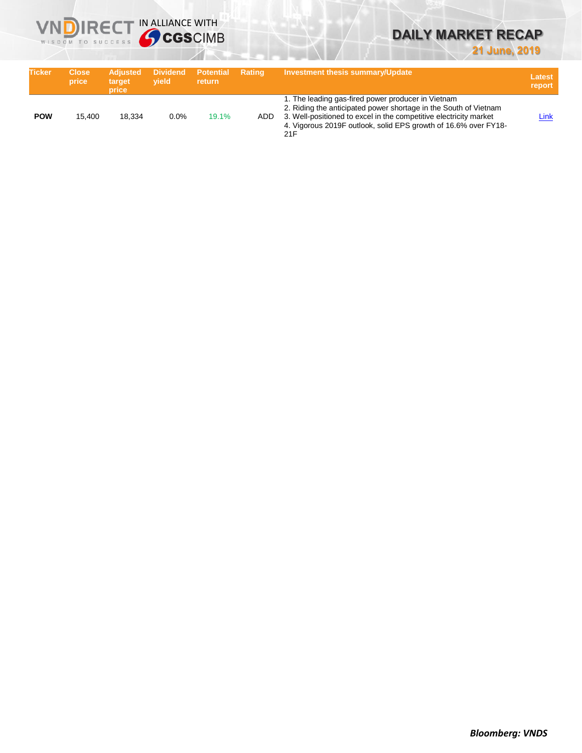

# **21 June, 2019**

| <b>Ticker</b> | <b>Close</b><br>price | <b>Adiusted</b><br>target<br>price | vield   | Dividend Potential<br><b>return</b> | Rating | <b>Investment thesis summary/Update</b>                                                                                                                                                                                                                               | <b>Latest</b><br>report |
|---------------|-----------------------|------------------------------------|---------|-------------------------------------|--------|-----------------------------------------------------------------------------------------------------------------------------------------------------------------------------------------------------------------------------------------------------------------------|-------------------------|
| <b>POW</b>    | 15.400                | 18.334                             | $0.0\%$ | 19.1%                               | ADD    | 1. The leading gas-fired power producer in Vietnam<br>2. Riding the anticipated power shortage in the South of Vietnam<br>3. Well-positioned to excel in the competitive electricity market<br>4. Vigorous 2019F outlook, solid EPS growth of 16.6% over FY18-<br>21F | Link                    |

**VNDIRECT IN ALLIANCE WITH**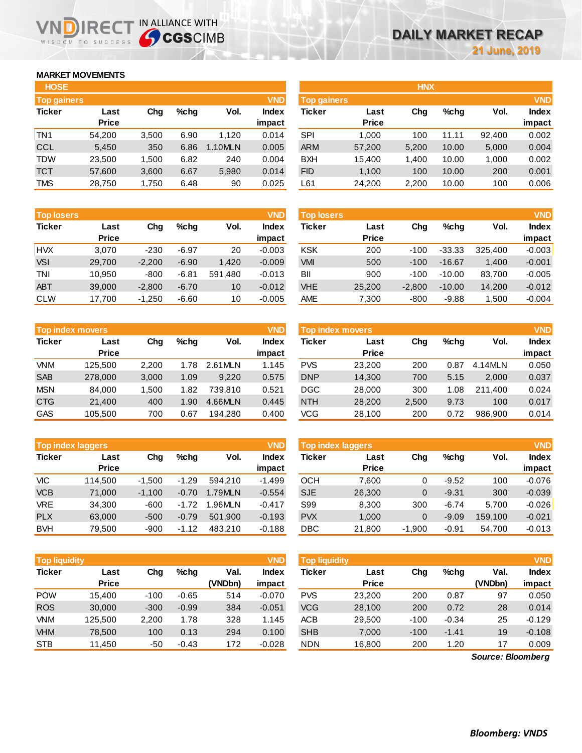# **MARKET MOVEMENTS**

WISDOM TO SUCCESS

n

| <b>HOSE</b>        |              |       |      |         |              |
|--------------------|--------------|-------|------|---------|--------------|
| <b>Top gainers</b> |              |       |      |         | <b>VND</b>   |
| <b>Ticker</b>      | Last         | Cha   | %chq | Vol.    | <b>Index</b> |
|                    | <b>Price</b> |       |      |         | impact       |
| TN <sub>1</sub>    | 54,200       | 3,500 | 6.90 | 1,120   | 0.014        |
| <b>CCL</b>         | 5,450        | 350   | 6.86 | 1.10MLN | 0.005        |
| <b>TDW</b>         | 23,500       | 1,500 | 6.82 | 240     | 0.004        |
| <b>TCT</b>         | 57,600       | 3,600 | 6.67 | 5,980   | 0.014        |
| <b>TMS</b>         | 28,750       | 1.750 | 6.48 | 90      | 0.025        |

**IRECT IN ALLIANCE WITH** 

| <b>Top losers</b> |              |          |         |         | <b>VND</b>   |
|-------------------|--------------|----------|---------|---------|--------------|
| <b>Ticker</b>     | Last         | Cha      | %chq    | Vol.    | <b>Index</b> |
|                   | <b>Price</b> |          |         |         | impact       |
| <b>HVX</b>        | 3,070        | $-230$   | $-6.97$ | 20      | $-0.003$     |
| <b>VSI</b>        | 29,700       | $-2,200$ | $-6.90$ | 1,420   | $-0.009$     |
| <b>TNI</b>        | 10,950       | -800     | $-6.81$ | 591,480 | $-0.013$     |
| <b>ABT</b>        | 39,000       | $-2,800$ | $-6.70$ | 10      | $-0.012$     |
| <b>CLW</b>        | 17.700       | $-1.250$ | $-6.60$ | 10      | $-0.005$     |

| <b>VND</b><br><b>Top index movers</b> |              |       |      |         |              |  |  |  |
|---------------------------------------|--------------|-------|------|---------|--------------|--|--|--|
| <b>Ticker</b>                         | Last         | Cha   | %chq | Vol.    | <b>Index</b> |  |  |  |
|                                       | <b>Price</b> |       |      |         | impact       |  |  |  |
| VNM                                   | 125,500      | 2,200 | 1.78 | 2.61MLN | 1.145        |  |  |  |
| <b>SAB</b>                            | 278,000      | 3,000 | 1.09 | 9.220   | 0.575        |  |  |  |
| <b>MSN</b>                            | 84,000       | 1,500 | 1.82 | 739.810 | 0.521        |  |  |  |
| <b>CTG</b>                            | 21,400       | 400   | 1.90 | 4.66MLN | 0.445        |  |  |  |
| <b>GAS</b>                            | 105,500      | 700   | 0.67 | 194,280 | 0.400        |  |  |  |

| <b>VND</b><br><b>Top index laggers</b> |              |          |         |         |              |  |  |  |
|----------------------------------------|--------------|----------|---------|---------|--------------|--|--|--|
| <b>Ticker</b>                          | Last         | Cha      | %chq    | Vol.    | <b>Index</b> |  |  |  |
|                                        | <b>Price</b> |          |         |         | impact       |  |  |  |
| VIC                                    | 114,500      | $-1,500$ | $-1.29$ | 594.210 | $-1.499$     |  |  |  |
| <b>VCB</b>                             | 71,000       | $-1,100$ | $-0.70$ | 1.79MLN | $-0.554$     |  |  |  |
| <b>VRE</b>                             | 34,300       | -600     | $-1.72$ | 1.96MLN | $-0.417$     |  |  |  |
| <b>PLX</b>                             | 63,000       | $-500$   | $-0.79$ | 501,900 | $-0.193$     |  |  |  |
| <b>BVH</b>                             | 79,500       | -900     | $-1.12$ | 483,210 | $-0.188$     |  |  |  |

|               | <b>VND</b><br><b>Top liquidity</b> |        |         |         |              |  |  |  |  |  |  |  |  |
|---------------|------------------------------------|--------|---------|---------|--------------|--|--|--|--|--|--|--|--|
| <b>Ticker</b> | Last                               | Cha    | %chq    | Val.    | <b>Index</b> |  |  |  |  |  |  |  |  |
|               | <b>Price</b>                       |        |         | (VNDbn) | impact       |  |  |  |  |  |  |  |  |
| <b>POW</b>    | 15.400                             | $-100$ | $-0.65$ | 514     | $-0.070$     |  |  |  |  |  |  |  |  |
| <b>ROS</b>    | 30,000                             | $-300$ | $-0.99$ | 384     | $-0.051$     |  |  |  |  |  |  |  |  |
| VNM           | 125,500                            | 2,200  | 1.78    | 328     | 1.145        |  |  |  |  |  |  |  |  |
| <b>VHM</b>    | 78,500                             | 100    | 0.13    | 294     | 0.100        |  |  |  |  |  |  |  |  |
| <b>STB</b>    | 11,450                             | -50    | $-0.43$ | 172     | $-0.028$     |  |  |  |  |  |  |  |  |

| <b>HOSE</b>        |              |       |      |         |              |                    |              | <b>HNX</b> |         |        |              |
|--------------------|--------------|-------|------|---------|--------------|--------------------|--------------|------------|---------|--------|--------------|
| <b>Top gainers</b> |              |       |      |         | <b>VND</b>   | <b>Top gainers</b> |              |            |         |        | <b>VND</b>   |
| Ticker             | Last         | Chg   | %chq | Vol.    | <b>Index</b> | Ticker             | Last         | Chg        | $%$ chg | Vol.   | <b>Index</b> |
|                    | <b>Price</b> |       |      |         | impact       |                    | <b>Price</b> |            |         |        | impact       |
| TN <sub>1</sub>    | 54,200       | 3,500 | 6.90 | 1,120   | 0.014        | SPI                | 1.000        | 100        | 11.11   | 92,400 | 0.002        |
| CCL                | 5,450        | 350   | 6.86 | 1.10MLN | 0.005        | <b>ARM</b>         | 57,200       | 5,200      | 10.00   | 5,000  | 0.004        |
| TDW                | 23,500       | 1,500 | 6.82 | 240     | 0.004        | <b>BXH</b>         | 15,400       | 1.400      | 10.00   | 1,000  | 0.002        |
| тст                | 57,600       | 3,600 | 6.67 | 5,980   | 0.014        | <b>FID</b>         | 1,100        | 100        | 10.00   | 200    | 0.001        |
| TMS                | 28,750       | 1,750 | 6.48 | 90      | 0.025        | L61                | 24,200       | 2,200      | 10.00   | 100    | 0.006        |
|                    |              |       |      |         |              |                    |              |            |         |        |              |

| <b>Top losers</b> |                      |          |         |         | <b>VND</b>             | <b>VND</b><br><b>Top losers</b> |                      |          |          |         |                        |  |
|-------------------|----------------------|----------|---------|---------|------------------------|---------------------------------|----------------------|----------|----------|---------|------------------------|--|
| Ticker            | Last<br><b>Price</b> | Chg      | $%$ chg | Vol.    | <b>Index</b><br>impact | Ticker                          | Last<br><b>Price</b> | Chg      | %chq     | Vol.    | <b>Index</b><br>impact |  |
| <b>HVX</b>        | 3.070                | $-230$   | $-6.97$ | 20      | $-0.003$               | <b>KSK</b>                      | 200                  | $-100$   | $-33.33$ | 325,400 | $-0.003$               |  |
| <b>VSI</b>        | 29,700               | $-2,200$ | $-6.90$ | 1,420   | $-0.009$               | <b>VMI</b>                      | 500                  | $-100$   | $-16.67$ | 1,400   | $-0.001$               |  |
| TNI               | 10.950               | $-800$   | $-6.81$ | 591.480 | $-0.013$               | BII                             | 900                  | $-100$   | $-10.00$ | 83,700  | $-0.005$               |  |
| <b>ABT</b>        | 39,000               | $-2,800$ | $-6.70$ | 10      | $-0.012$               | <b>VHE</b>                      | 25,200               | $-2,800$ | $-10.00$ | 14,200  | $-0.012$               |  |
| CLW               | 17,700               | $-1,250$ | $-6.60$ | 10      | $-0.005$               | <b>AME</b>                      | 7,300                | $-800$   | $-9.88$  | 1,500   | $-0.004$               |  |

|            | Top index movers     |       |      |         | <b>VND</b> | <b>Top index movers</b> |                      |       |         |         | <b>VND</b>   |
|------------|----------------------|-------|------|---------|------------|-------------------------|----------------------|-------|---------|---------|--------------|
| Ticker     | Last<br><b>Price</b> | Chg   | %chq | Vol.    | Index      | Ticker                  | Last<br><b>Price</b> | Chg   | $%$ chq | Vol.    | <b>Index</b> |
|            |                      |       |      |         | impact     |                         |                      |       |         |         | impact       |
| <b>VNM</b> | 125.500              | 2.200 | 1.78 | 2.61MLN | 1.145      | <b>PVS</b>              | 23,200               | 200   | 0.87    | 4.14MLN | 0.050        |
| <b>SAB</b> | 278,000              | 3,000 | 1.09 | 9,220   | 0.575      | <b>DNP</b>              | 14,300               | 700   | 5.15    | 2.000   | 0.037        |
| <b>MSN</b> | 84.000               | 1.500 | 1.82 | 739.810 | 0.521      | DGC                     | 28,000               | 300   | 1.08    | 211.400 | 0.024        |
| <b>CTG</b> | 21.400               | 400   | 1.90 | 4.66MLN | 0.445      | <b>NTH</b>              | 28,200               | 2,500 | 9.73    | 100     | 0.017        |
| GAS        | 105.500              | 700   | 0.67 | 194.280 | 0.400      | VCG                     | 28,100               | 200   | 0.72    | 986.900 | 0.014        |

|            | <b>Top index laggers</b> |          |         |         |          |            | <b>VND</b><br><b>Top index laggers</b> |          |         |         |              |  |
|------------|--------------------------|----------|---------|---------|----------|------------|----------------------------------------|----------|---------|---------|--------------|--|
| Ticker     | Last                     | Chg      | $%$ chq | Vol.    | Index    | Ticker     | Last                                   | Chg      | $%$ chq | Vol.    | <b>Index</b> |  |
|            | <b>Price</b>             |          |         |         | impact   |            | <b>Price</b>                           |          |         |         | impact       |  |
| VIC        | 114.500                  | $-1.500$ | $-1.29$ | 594.210 | $-1.499$ | OCH        | 7.600                                  | 0        | $-9.52$ | 100     | $-0.076$     |  |
| <b>VCB</b> | 71.000                   | $-1.100$ | $-0.70$ | 1.79MLN | $-0.554$ | <b>SJE</b> | 26,300                                 | 0        | $-9.31$ | 300     | $-0.039$     |  |
| <b>VRE</b> | 34,300                   | $-600$   | $-1.72$ | 1.96MLN | $-0.417$ | S99        | 8,300                                  | 300      | $-6.74$ | 5.700   | $-0.026$     |  |
| <b>PLX</b> | 63,000                   | $-500$   | $-0.79$ | 501.900 | $-0.193$ | <b>PVX</b> | 1.000                                  | 0        | $-9.09$ | 159.100 | $-0.021$     |  |
| <b>BVH</b> | 79.500                   | $-900$   | $-1.12$ | 483.210 | $-0.188$ | DBC        | 21,800                                 | $-1.900$ | $-0.91$ | 54.700  | $-0.013$     |  |

| <b>Top liquidity</b> |                      |        |         |                 | <b>VND</b>             | <b>Top liquidity</b> |                      |        |         |                   |                                      |
|----------------------|----------------------|--------|---------|-----------------|------------------------|----------------------|----------------------|--------|---------|-------------------|--------------------------------------|
| Ticker               | Last<br><b>Price</b> | Chg    | %chq    | Val.<br>(VNDbn) | <b>Index</b><br>impact | Ticker               | Last<br><b>Price</b> | Chg    | $%$ chq | Val.<br>(VNDbn)   | <b>VND</b><br><b>Index</b><br>impact |
| <b>POW</b>           | 15.400               | $-100$ | $-0.65$ | 514             | $-0.070$               | <b>PVS</b>           | 23,200               | 200    | 0.87    | 97                | 0.050                                |
| <b>ROS</b>           | 30,000               | $-300$ | $-0.99$ | 384             | $-0.051$               | <b>VCG</b>           | 28,100               | 200    | 0.72    | 28                | 0.014                                |
| <b>VNM</b>           | 125,500              | 2.200  | 1.78    | 328             | 1.145                  | <b>ACB</b>           | 29,500               | $-100$ | $-0.34$ | 25                | $-0.129$                             |
| <b>VHM</b>           | 78,500               | 100    | 0.13    | 294             | 0.100                  | <b>SHB</b>           | 7,000                | $-100$ | $-1.41$ | 19                | $-0.108$                             |
| <b>STB</b>           | 11,450               | -50    | $-0.43$ | 172             | $-0.028$               | <b>NDN</b>           | 16,800               | 200    | 1.20    | 17                | 0.009                                |
|                      |                      |        |         |                 |                        |                      |                      |        |         | Source: Bloomberg |                                      |

*Source: Bloomberg*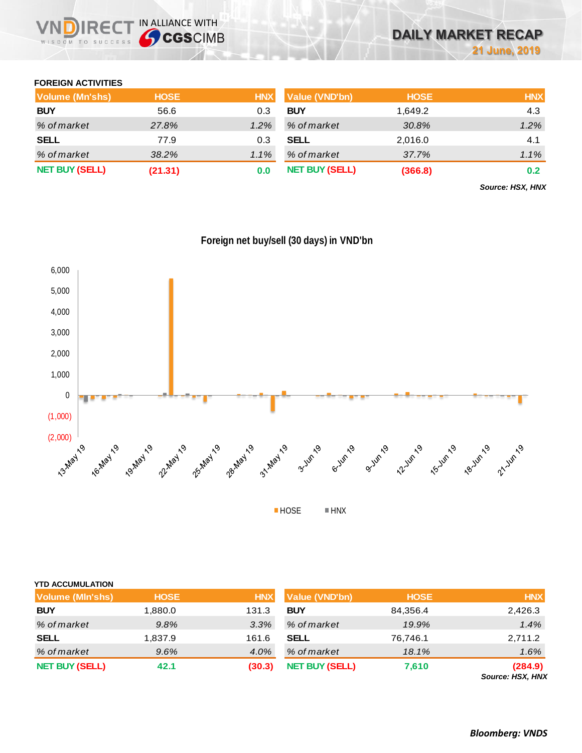## **FOREIGN ACTIVITIES**

| Volume (Mn'shs)       | <b>HOSE</b> | <b>HNX</b> | <b>Value (VND'bn)</b> | <b>HOSE</b> | <b>HNX</b> |
|-----------------------|-------------|------------|-----------------------|-------------|------------|
| <b>BUY</b>            | 56.6        | 0.3        | <b>BUY</b>            | 1.649.2     | 4.3        |
| % of market           | 27.8%       | $1.2\%$    | % of market           | 30.8%       | 1.2%       |
| <b>SELL</b>           | 77.9        | 0.3        | <b>SELL</b>           | 2,016.0     | 4.1        |
| % of market           | 38.2%       | $1.1\%$    | % of market           | 37.7%       | 1.1%       |
| <b>NET BUY (SELL)</b> | (21.31)     | 0.0        | <b>NET BUY (SELL)</b> | (366.8)     | 0.2        |

*Source: HSX, HNX*



|  |  | Foreign net buy/sell (30 days) in VND'bn |
|--|--|------------------------------------------|
|  |  |                                          |

**YTD ACCUMULATION Volume (Mln'shs) HOSE HNX Value (VND'bn) HOSE HNX BUY** 1,880.0 131.3 **BUY** 84,356.4 2,426.3 *% of market 9.8% 3.3% % of market 19.9% 1.4%* **SELL** 1,837.9 161.6 **SELL** 76,746.1 2,711.2 *% of market 9.6% 4.0% % of market 18.1% 1.6%* **NET BUY (SELL) 42.1 (30.3) NET BUY(SELL) 7,610 (284.9)** *Source: HSX, HNX*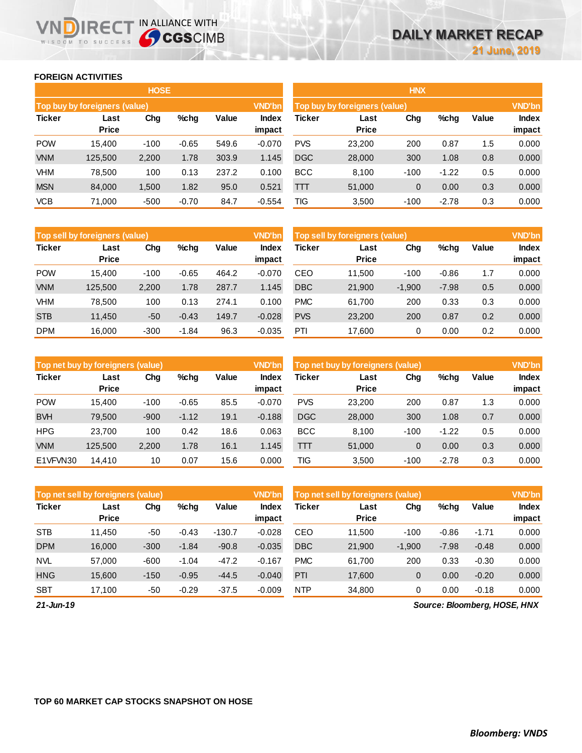## **FOREIGN ACTIVITIES**

WISDOM TO SUCCESS

 $R \in C$ 

IN ALLIANCE WITH

|               |                               | <b>HOSE</b> |         |       |               |                               |                      | <b>HNX</b> |         |       |        |
|---------------|-------------------------------|-------------|---------|-------|---------------|-------------------------------|----------------------|------------|---------|-------|--------|
|               | Top buy by foreigners (value) |             |         |       | <b>VND'bn</b> | Top buy by foreigners (value) |                      |            |         |       |        |
| <b>Ticker</b> | Last<br><b>Price</b>          | Chg         | $%$ chg | Value | <b>Index</b>  | Ticker                        | Last<br><b>Price</b> | Chg        | %chg    | Value | Index  |
|               |                               |             |         |       | impact        |                               |                      |            |         |       | impact |
| <b>POW</b>    | 15.400                        | $-100$      | $-0.65$ | 549.6 | $-0.070$      | <b>PVS</b>                    | 23,200               | 200        | 0.87    | 1.5   | 0.000  |
| <b>VNM</b>    | 125,500                       | 2,200       | 1.78    | 303.9 | 1.145         | <b>DGC</b>                    | 28,000               | 300        | 1.08    | 0.8   | 0.000  |
| <b>VHM</b>    | 78,500                        | 100         | 0.13    | 237.2 | 0.100         | <b>BCC</b>                    | 8,100                | $-100$     | $-1.22$ | 0.5   | 0.000  |
| <b>MSN</b>    | 84,000                        | 1,500       | 1.82    | 95.0  | 0.521         | TП                            | 51,000               | 0          | 0.00    | 0.3   | 0.000  |
| <b>VCB</b>    | 71,000                        | $-500$      | $-0.70$ | 84.7  | $-0.554$      | TIG                           | 3,500                | $-100$     | $-2.78$ | 0.3   | 0.000  |

|               | Top sell by foreigners (value) |        |         |       | <b>VND'bn</b>   | Top sell by foreigners (value) |                      |          |         |       | <b>VND'bn</b>   |
|---------------|--------------------------------|--------|---------|-------|-----------------|--------------------------------|----------------------|----------|---------|-------|-----------------|
| <b>Ticker</b> | Last<br><b>Price</b>           | Chg    | $%$ chg | Value | Index<br>impact | Ticker                         | Last<br><b>Price</b> | Chg      | %chg    | Value | Index<br>impact |
| <b>POW</b>    | 15.400                         | $-100$ | $-0.65$ | 464.2 | $-0.070$        | CEO                            | 11,500               | $-100$   | $-0.86$ | 1.7   | 0.000           |
|               |                                |        |         |       |                 |                                |                      |          |         |       |                 |
| <b>VNM</b>    | 125,500                        | 2.200  | 1.78    | 287.7 | 1.145           | <b>DBC</b>                     | 21,900               | $-1.900$ | $-7.98$ | 0.5   | 0.000           |
| VHM           | 78.500                         | 100    | 0.13    | 274.1 | 0.100           | <b>PMC</b>                     | 61,700               | 200      | 0.33    | 0.3   | 0.000           |
| <b>STB</b>    | 11,450                         | $-50$  | $-0.43$ | 149.7 | $-0.028$        | <b>PVS</b>                     | 23,200               | 200      | 0.87    | 0.2   | 0.000           |
| <b>DPM</b>    | 16.000                         | $-300$ | $-1.84$ | 96.3  | $-0.035$        | PTI                            | 17,600               | 0        | 0.00    | 0.2   | 0.000           |

|               | Top net buy by foreigners (value) |        |         |       | <b>VND'bn</b>          | Top net buy by foreigners (value) |                      |        |         |       | <b>VND'bn</b>          |
|---------------|-----------------------------------|--------|---------|-------|------------------------|-----------------------------------|----------------------|--------|---------|-------|------------------------|
| <b>Ticker</b> | Last<br><b>Price</b>              | Chg    | $%$ chg | Value | <b>Index</b><br>impact | Ticker                            | Last<br><b>Price</b> | Chg    | %chg    | Value | <b>Index</b><br>impact |
| <b>POW</b>    | 15.400                            | $-100$ | $-0.65$ | 85.5  | $-0.070$               | <b>PVS</b>                        | 23,200               | 200    | 0.87    | 1.3   | 0.000                  |
| <b>BVH</b>    | 79.500                            | $-900$ | $-1.12$ | 19.1  | $-0.188$               | <b>DGC</b>                        | 28,000               | 300    | 1.08    | 0.7   | 0.000                  |
| <b>HPG</b>    | 23.700                            | 100    | 0.42    | 18.6  | 0.063                  | <b>BCC</b>                        | 8.100                | $-100$ | $-1.22$ | 0.5   | 0.000                  |
| <b>VNM</b>    | 125,500                           | 2,200  | 1.78    | 16.1  | 1.145                  | TП                                | 51,000               | 0      | 0.00    | 0.3   | 0.000                  |
| E1VFVN30      | 14,410                            | 10     | 0.07    | 15.6  | 0.000                  | TIG                               | 3,500                | $-100$ | $-2.78$ | 0.3   | 0.000                  |

|               | <b>VND'bn</b><br>Top net sell by foreigners (value) |        |         |          |                 |            | Top net sell by foreigners (value) |              |         |         |                 |  |
|---------------|-----------------------------------------------------|--------|---------|----------|-----------------|------------|------------------------------------|--------------|---------|---------|-----------------|--|
| <b>Ticker</b> | Last<br><b>Price</b>                                | Chg    | %chg    | Value    | Index<br>impact | Ticker     | Last<br><b>Price</b>               | Chg          | %chg    | Value   | Index<br>impact |  |
| <b>STB</b>    | 11.450                                              | -50    | $-0.43$ | $-130.7$ | $-0.028$        | CEO        | 11.500                             | $-100$       | $-0.86$ | $-1.71$ | 0.000           |  |
| <b>DPM</b>    | 16.000                                              | $-300$ | $-1.84$ | $-90.8$  | $-0.035$        | <b>DBC</b> | 21,900                             | $-1.900$     | $-7.98$ | $-0.48$ | 0.000           |  |
| <b>NVL</b>    | 57,000                                              | $-600$ | $-1.04$ | $-47.2$  | $-0.167$        | <b>PMC</b> | 61.700                             | 200          | 0.33    | $-0.30$ | 0.000           |  |
| <b>HNG</b>    | 15,600                                              | $-150$ | $-0.95$ | $-44.5$  | $-0.040$        | PTI        | 17,600                             | $\mathbf{0}$ | 0.00    | $-0.20$ | 0.000           |  |
| <b>SBT</b>    | 17.100                                              | -50    | $-0.29$ | $-37.5$  | $-0.009$        | <b>NTP</b> | 34.800                             | 0            | 0.00    | $-0.18$ | 0.000           |  |

*21-Jun-19*

*Source: Bloomberg, HOSE, HNX*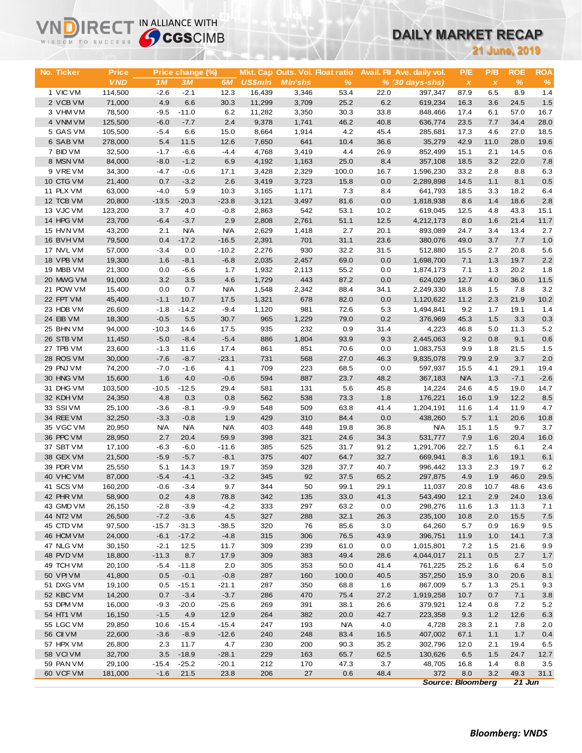# **DAILY MARKET RECAP**

|                        | <b>Sy CGS</b> CIMB<br>WISDOM TO SUCCESS |                  |                   |                   |                 |                                 |              | <b>DAILY MARKET RECAP</b> |                             |              |                           |              |             |
|------------------------|-----------------------------------------|------------------|-------------------|-------------------|-----------------|---------------------------------|--------------|---------------------------|-----------------------------|--------------|---------------------------|--------------|-------------|
|                        |                                         |                  |                   |                   |                 |                                 |              | <b>21 June, 2019</b>      |                             |              |                           |              |             |
|                        |                                         |                  |                   |                   |                 |                                 |              |                           |                             |              |                           |              |             |
| <b>No. Ticker</b>      | <b>Price</b>                            |                  | Price change (%)  |                   |                 | Mkt. Cap Outs. Vol. Float ratio |              |                           | Avail. Fil Ave. daily vol.  | P/E          | P/B                       | <b>ROE</b>   | <b>ROA</b>  |
|                        | <b>VND</b>                              | 1M               | 3M                | 6M                | <b>US\$mln</b>  | <b>MIn'shs</b>                  | $\%$         |                           | $% (30 \, \text{days-shs})$ | $\pmb{\chi}$ | $\boldsymbol{\mathsf{x}}$ | $\%$         | $\%$        |
| 1 VIC VM               | 114,500                                 | $-2.6$           | $-2.1$            | 12.3              | 16,439          | 3,346                           | 53.4         | 22.0                      | 397.347                     | 87.9         | 6.5                       | 8.9          | 1.4         |
| 2 VCB VM               | 71,000                                  | 4.9              | 6.6               | 30.3              | 11,299          | 3,709                           | 25.2         | 6.2                       | 619,234                     | 16.3         | 3.6                       | 24.5         | 1.5<br>16.7 |
| 3 VHM VM<br>4 VNM VM   | 78,500<br>125,500                       | $-9.5$<br>$-6.0$ | $-11.0$<br>$-7.7$ | 6.2<br>2.4        | 11,282<br>9,378 | 3,350<br>1,741                  | 30.3<br>46.2 | 33.8<br>40.8              | 848,466<br>636,774          | 17.4<br>23.5 | 6.1<br>7.7                | 57.0<br>34.4 | 28.0        |
| 5 GAS VM               | 105,500                                 | $-5.4$           | 6.6               | 15.0              | 8,664           | 1,914                           | 4.2          | 45.4                      | 285,681                     | 17.3         | 4.6                       | 27.0         | 18.5        |
| 6 SAB VM               | 278,000                                 | 5.4              | 11.5              | 12.6              | 7,650           | 641                             | 10.4         | 36.6                      | 35,279                      | 42.9         | 11.0                      | 28.0         | 19.6        |
| 7 BID VM               | 32,500                                  | $-1.7$           | $-6.6$            | $-4.4$            | 4,768           | 3,419                           | 4.4          | 26.9                      | 852,499                     | 15.1         | 2.1                       | 14.5         | 0.6         |
| 8 MSN VM               | 84,000                                  | $-8.0$           | $-1.2$            | 6.9               | 4,192           | 1,163                           | 25.0         | 8.4                       | 357,108                     | 18.5         | 3.2                       | 22.0         | 7.8         |
| 9 VRE VM               | 34,300                                  | $-4.7$           | $-0.6$            | 17.1              | 3,428           | 2,329                           | 100.0        | 16.7                      | 1,596,230                   | 33.2         | 2.8                       | 8.8          | 6.3         |
| 10 CTG VM              | 21,400                                  | 0.7              | $-3.2$            | 2.6               | 3,419           | 3,723                           | 15.8         | 0.0                       | 2,289,898                   | 14.5         | 1.1                       | 8.1          | 0.5         |
| 11 PLX VM              | 63,000                                  | $-4.0$           | 5.9               | 10.3              | 3,165           | 1,171                           | 7.3          | 8.4                       | 641,793                     | 18.5         | 3.3                       | 18.2         | 6.4         |
| 12 TCB VM              | 20,800                                  | $-13.5$          | $-20.3$           | $-23.8$           | 3,121           | 3,497                           | 81.6         | 0.0                       | 1,818,938                   | 8.6          | 1.4                       | 18.6         | 2.8         |
| 13 VJC VM              | 123,200                                 | 3.7              | 4.0               | $-0.8$            | 2,863           | 542                             | 53.1         | 10.2                      | 619,045                     | 12.5         | 4.8                       | 43.3         | 15.1        |
| 14 HPG VM              | 23,700                                  | $-6.4$           | $-3.7$            | 2.9               | 2,808           | 2,761                           | 51.1         | 12.5                      | 4,212,173                   | 8.0          | 1.6                       | 21.4         | 11.7        |
| 15 HVN VM              | 43,200                                  | 2.1              | <b>N/A</b>        | <b>N/A</b>        | 2,629           | 1,418                           | 2.7          | 20.1                      | 893,089                     | 24.7         | 3.4                       | 13.4         | 2.7         |
| 16 BVHVM               | 79,500                                  | 0.4              | $-17.2$           | $-16.5$           | 2,391           | 701                             | 31.1         | 23.6                      | 380,076                     | 49.0         | 3.7                       | 7.7          | 1.0         |
| 17 NVL VM              | 57,000                                  | $-3.4$           | 0.0               | $-10.2$           | 2,276           | 930                             | 32.2         | 31.5                      | 512,880                     | 15.5         | 2.7                       | 20.8         | 5.6         |
| 18 VPB VM              | 19,300                                  | 1.6              | $-8.1$            | $-6.8$            | 2,035           | 2,457                           | 69.0         | 0.0                       | 1,698,700                   | 7.1          | 1.3                       | 19.7         | 2.2         |
| 19 MBB VM              | 21,300                                  | 0.0              | $-6.6$            | 1.7               | 1,932           | 2,113                           | 55.2         | 0.0                       | 1,874,173                   | 7.1          | 1.3                       | 20.2         | 1.8         |
| 20 MWG VM<br>21 POW VM | 91,000<br>15,400                        | 3.2<br>0.0       | 3.5<br>0.7        | 4.6<br><b>N/A</b> | 1,729<br>1,548  | 443<br>2,342                    | 87.2<br>88.4 | 0.0<br>34.1               | 624,029                     | 12.7         | 4.0                       | 36.0<br>7.8  | 11.5<br>3.2 |
| 22 FPT VM              | 45,400                                  | $-1.1$           | 10.7              | 17.5              | 1,321           | 678                             | 82.0         | 0.0                       | 2,249,330<br>1,120,622      | 18.8<br>11.2 | 1.5<br>2.3                | 21.9         | 10.2        |
| 23 HDB VM              | 26,600                                  | $-1.8$           | $-14.2$           | $-9.4$            | 1,120           | 981                             | 72.6         | 5.3                       | 1,494,841                   | 9.2          | 1.7                       | 19.1         | 1.4         |
| 24 EIB VM              | 18,300                                  | $-0.5$           | 5.5               | 30.7              | 965             | 1,229                           | 79.0         | 0.2                       | 376,969                     | 45.3         | 1.5                       | 3.3          | 0.3         |
| 25 BHN VM              | 94,000                                  | $-10.3$          | 14.6              | 17.5              | 935             | 232                             | 0.9          | 31.4                      | 4,223                       | 46.8         | 5.0                       | 11.3         | 5.2         |
| 26 STB VM              | 11,450                                  | $-5.0$           | $-8.4$            | $-5.4$            | 886             | 1,804                           | 93.9         | 9.3                       | 2,445,063                   | 9.2          | 0.8                       | 9.1          | 0.6         |
| 27 TPB VM              | 23,600                                  | $-1.3$           | 11.6              | 17.4              | 861             | 851                             | 70.6         | 0.0                       | 1,083,753                   | 9.9          | 1.8                       | 21.5         | 1.5         |
| 28 ROS VM              | 30,000                                  | $-7.6$           | $-8.7$            | $-23.1$           | 731             | 568                             | 27.0         | 46.3                      | 9,835,078                   | 79.9         | 2.9                       | 3.7          | 2.0         |
| 29 PNJ VM              | 74,200                                  | $-7.0$           | $-1.6$            | 4.1               | 709             | 223                             | 68.5         | 0.0                       | 597,937                     | 15.5         | 4.1                       | 29.1         | 19.4        |
| 30 HNG VM              | 15,600                                  | 1.6              | 4.0               | $-0.6$            | 594             | 887                             | 23.7         | 48.2                      | 367,183                     | <b>N/A</b>   | 1.3                       | $-7.1$       | $-2.6$      |
| 31 DHG VM              | 103,500                                 | $-10.5$          | $-12.5$           | 29.4              | 581             | 131                             | 5.6          | 45.8                      | 14,224                      | 24.6         | 4.5                       | 19.0         | 14.7        |
| 32 KDH VM              | 24,350                                  | 4.8              | 0.3               | 0.8               | 562             | 538                             | 73.3         | 1.8                       | 176,221                     | 16.0         | 1.9                       | 12.2         | 8.5         |
| 33 SSIVM               | 25,100                                  | $-3.6$           | $-8.1$            | $-9.9$            | 548             | 509                             | 63.8         | 41.4                      | 1,204,191                   | 11.6         | 1.4                       | 11.9         | 4.7         |
| 34 REE VM              | 32,250                                  | $-3.3$           | $-0.8$            | 1.9               | 429             | 310                             | 84.4         | 0.0                       | 438,260                     | 5.7          | 1.1                       | 20.6         | 10.8        |
| 35 VGC VM              | 20,950                                  | <b>N/A</b>       | <b>N/A</b>        | <b>N/A</b>        | 403             | 448                             | 19.8         | 36.8                      | <b>N/A</b>                  | 15.1         | 1.5                       | 9.7          | 3.7         |
| 36 PPC VM<br>37 SBT VM | 28,950                                  | 2.7              | 20.4              | 59.9              | 398<br>385      | 321<br>525                      | 24.6<br>31.7 | 34.3                      | 531,777<br>1,291,706        | 7.9<br>22.7  | 1.6                       | 20.4<br>6.1  | 16.0<br>2.4 |
| 38 GEX VM              | 17,100<br>21,500                        | $-6.3$<br>$-5.9$ | $-6.0$<br>$-5.7$  | $-11.6$<br>$-8.1$ | 375             | 407                             | 64.7         | 91.2<br>32.7              | 669,941                     | 8.3          | 1.5<br>1.6                | 19.1         | 6.1         |
| 39 PDR VM              | 25,550                                  | 5.1              | 14.3              | 19.7              | 359             | 328                             | 37.7         | 40.7                      | 996,442                     | 13.3         | 2.3                       | 19.7         | 6.2         |
| 40 VHC VM              | 87,000                                  | $-5.4$           | $-4.1$            | $-3.2$            | 345             | 92                              | 37.5         | 65.2                      | 297,875                     | 4.9          | 1.9                       | 46.0         | 29.5        |
| 41 SCS VM              | 160,200                                 | $-0.6$           | $-3.4$            | 9.7               | 344             | 50                              | 99.1         | 29.1                      | 11,037                      | 20.8         | 10.7                      | 48.6         | 43.6        |
| 42 PHR VM              | 58,900                                  | 0.2              | 4.8               | 78.8              | 342             | 135                             | 33.0         | 41.3                      | 543,490                     | 12.1         | 2.9                       | 24.0         | 13.6        |
| 43 GMD VM              | 26,150                                  | $-2.8$           | $-3.9$            | $-4.2$            | 333             | 297                             | 63.2         | 0.0                       | 298,276                     | 11.6         | 1.3                       | 11.3         | 7.1         |
| 44 NT2 VM              | 26,500                                  | $-7.2$           | $-3.6$            | 4.5               | 327             | 288                             | 32.1         | 26.3                      | 235,100                     | 10.8         | 2.0                       | 15.5         | 7.5         |
| 45 CTD VM              | 97,500                                  | $-15.7$          | $-31.3$           | -38.5             | 320             | 76                              | 85.6         | 3.0                       | 64,260                      | 5.7          | 0.9                       | 16.9         | 9.5         |
| 46 HCM VM              | 24,000                                  | $-6.1$           | $-17.2$           | $-4.8$            | 315             | 306                             | 76.5         | 43.9                      | 396,751                     | 11.9         | 1.0                       | 14.1         | 7.3         |
| 47 NLG VM              | 30,150                                  | $-2.1$           | 12.5              | 11.7              | 309             | 239                             | 61.0         | 0.0                       | 1,015,801                   | 7.2          | $1.5$                     | 21.6         | 9.9         |
| 48 PVD VM              | 18,800                                  | $-11.3$          | 8.7               | 17.9              | 309             | 383                             | 49.4         | 28.6                      | 4,044,017                   | 21.1         | 0.5                       | 2.7          | 1.7         |
| 49 TCH VM              | 20,100                                  | $-5.4$           | $-11.8$           | 2.0               | 305             | 353                             | 50.0         | 41.4                      | 761,225                     | 25.2         | 1.6                       | 6.4          | 5.0         |
| 50 VPI VM              | 41,800                                  | 0.5              | $-0.1$            | $-0.8$            | 287             | 160                             | 100.0        | 40.5                      | 357,250                     | 15.9         | 3.0                       | 20.6         | 8.1         |
| 51 DXG VM              | 19,100                                  | 0.5              | $-15.1$           | $-21.1$           | 287             | 350                             | 68.8         | 1.6                       | 867,009                     | 5.7          | 1.3                       | 25.1         | 9.3         |
| 52 KBC VM              | 14,200                                  | 0.7              | $-3.4$            | $-3.7$            | 286             | 470                             | 75.4         | 27.2                      | 1,919,258                   | 10.7         | 0.7                       | 7.1          | 3.8         |
| 53 DPM VM<br>54 HT1 VM | 16,000<br>16,150                        | $-9.3$<br>$-1.5$ | $-20.0$<br>4.9    | $-25.6$<br>12.9   | 269<br>264      | 391<br>382                      | 38.1<br>20.0 | 26.6<br>42.7              | 379,921                     | 12.4         | 0.8<br>1.2                | 7.2<br>12.6  | 5.2         |
| 55 LGC VM              | 29,850                                  | 10.6             | $-15.4$           | $-15.4$           | 247             | 193                             | <b>N/A</b>   | 4.0                       | 223,358<br>4,728            | 9.3<br>28.3  | 2.1                       | 7.8          | 6.3<br>2.0  |
| 56 CII VM              | 22,600                                  | $-3.6$           | $-8.9$            | $-12.6$           | 240             | 248                             | 83.4         | 16.5                      | 407,002                     | 67.1         | 1.1                       | 1.7          | 0.4         |
| 57 HPX VM              | 26,800                                  | 2.3              | 11.7              | 4.7               | 230             | 200                             | 90.3         | 35.2                      | 302,796                     | 12.0         | 2.1                       | 19.4         | 6.5         |
| 58 VCIVM               | 32,700                                  | 3.5              | $-18.9$           | $-28.1$           | 229             | 163                             | 65.7         | 62.5                      | 130,626                     | 6.5          | 1.5                       | 24.7         | 12.7        |
| 59 PAN VM              | 29,100                                  | $-15.4$          | $-25.2$           | $-20.1$           | 212             | 170                             | 47.3         | 3.7                       | 48,705                      | 16.8         | 1.4                       | 8.8          | 3.5         |
| 60 VCF VM              | 181,000                                 | $-1.6$           | 21.5              | 23.8              | 206             | 27                              | 0.6          | 48.4                      | 372                         | 8.0          | 3.2                       | 49.3         | 31.1        |
|                        |                                         |                  |                   |                   |                 |                                 |              |                           | <b>Source: Bloomberg</b>    |              |                           | 21 Jun       |             |

**VNDIRECT IN ALLIANCE WITH**